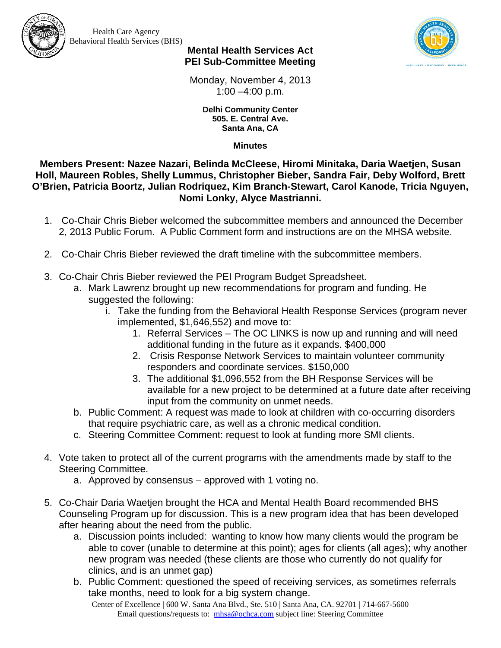

Health Care Agency Behavioral Health Services (BHS)



## **Mental Health Services Act PEI Sub-Committee Meeting**

Monday, November 4, 2013 1:00 –4:00 p.m.

> **Delhi Community Center 505. E. Central Ave. Santa Ana, CA**

> > **Minutes**

**Members Present: Nazee Nazari, Belinda McCleese, Hiromi Minitaka, Daria Waetjen, Susan Holl, Maureen Robles, Shelly Lummus, Christopher Bieber, Sandra Fair, Deby Wolford, Brett O'Brien, Patricia Boortz, Julian Rodriquez, Kim Branch-Stewart, Carol Kanode, Tricia Nguyen, Nomi Lonky, Alyce Mastrianni.** 

- 1. Co-Chair Chris Bieber welcomed the subcommittee members and announced the December 2, 2013 Public Forum. A Public Comment form and instructions are on the MHSA website.
- 2. Co-Chair Chris Bieber reviewed the draft timeline with the subcommittee members.
- 3. Co-Chair Chris Bieber reviewed the PEI Program Budget Spreadsheet.
	- a. Mark Lawrenz brought up new recommendations for program and funding. He suggested the following:
		- i. Take the funding from the Behavioral Health Response Services (program never implemented, \$1,646,552) and move to:
			- 1. Referral Services The OC LINKS is now up and running and will need additional funding in the future as it expands. \$400,000
			- 2. Crisis Response Network Services to maintain volunteer community responders and coordinate services. \$150,000
			- 3. The additional \$1,096,552 from the BH Response Services will be available for a new project to be determined at a future date after receiving input from the community on unmet needs.
	- b. Public Comment: A request was made to look at children with co-occurring disorders that require psychiatric care, as well as a chronic medical condition.
	- c. Steering Committee Comment: request to look at funding more SMI clients.
- 4. Vote taken to protect all of the current programs with the amendments made by staff to the Steering Committee.
	- a. Approved by consensus approved with 1 voting no.
- 5. Co-Chair Daria Waetjen brought the HCA and Mental Health Board recommended BHS Counseling Program up for discussion. This is a new program idea that has been developed after hearing about the need from the public.
	- a. Discussion points included: wanting to know how many clients would the program be able to cover (unable to determine at this point); ages for clients (all ages); why another new program was needed (these clients are those who currently do not qualify for clinics, and is an unmet gap)
	- b. Public Comment: questioned the speed of receiving services, as sometimes referrals take months, need to look for a big system change.